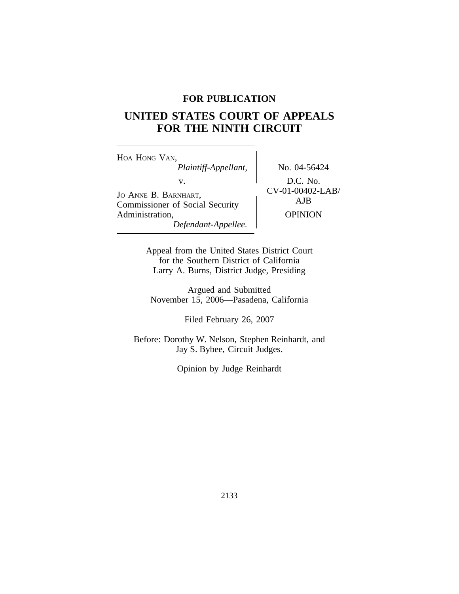# **FOR PUBLICATION**

# **UNITED STATES COURT OF APPEALS FOR THE NINTH CIRCUIT**

<sup>H</sup>OA HONG VAN, *Plaintiff-Appellant,* No. 04-56424 V.<br>
Jo ANNE B. BARNHART, COMMISSIONS OF Social Security AJB Commissioner of Social Security Administration, OPINION *Defendant-Appellee.*

Appeal from the United States District Court for the Southern District of California Larry A. Burns, District Judge, Presiding

Argued and Submitted November 15, 2006—Pasadena, California

Filed February 26, 2007

Before: Dorothy W. Nelson, Stephen Reinhardt, and Jay S. Bybee, Circuit Judges.

Opinion by Judge Reinhardt

2133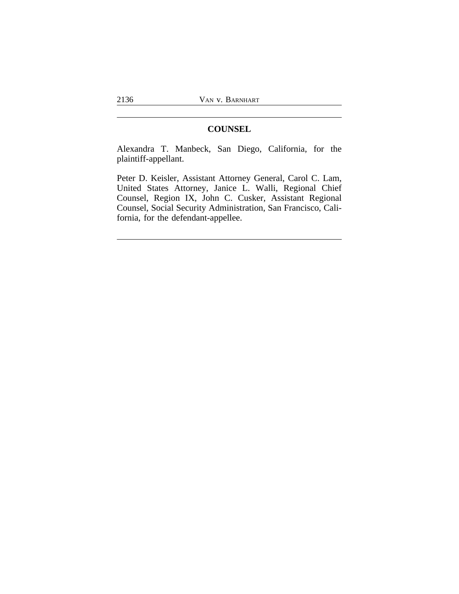## **COUNSEL**

Alexandra T. Manbeck, San Diego, California, for the plaintiff-appellant.

Peter D. Keisler, Assistant Attorney General, Carol C. Lam, United States Attorney, Janice L. Walli, Regional Chief Counsel, Region IX, John C. Cusker, Assistant Regional Counsel, Social Security Administration, San Francisco, California, for the defendant-appellee.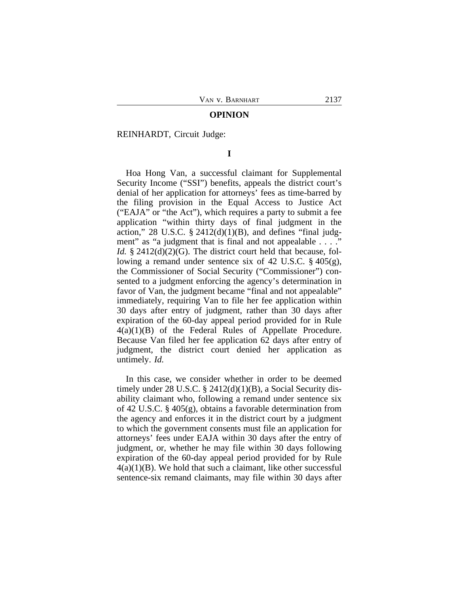#### **OPINION**

REINHARDT, Circuit Judge:

**I**

Hoa Hong Van, a successful claimant for Supplemental Security Income ("SSI") benefits, appeals the district court's denial of her application for attorneys' fees as time-barred by the filing provision in the Equal Access to Justice Act ("EAJA" or "the Act"), which requires a party to submit a fee application "within thirty days of final judgment in the action," 28 U.S.C.  $\S$  2412(d)(1)(B), and defines "final judgment" as "a judgment that is final and not appealable . . . ." *Id.* § 2412(d)(2)(G). The district court held that because, following a remand under sentence six of 42 U.S.C. § 405(g), the Commissioner of Social Security ("Commissioner") consented to a judgment enforcing the agency's determination in favor of Van, the judgment became "final and not appealable" immediately, requiring Van to file her fee application within 30 days after entry of judgment, rather than 30 days after expiration of the 60-day appeal period provided for in Rule 4(a)(1)(B) of the Federal Rules of Appellate Procedure. Because Van filed her fee application 62 days after entry of judgment, the district court denied her application as untimely. *Id.* 

In this case, we consider whether in order to be deemed timely under  $28 \text{ U.S.C. }$   $\S$   $2412(d)(1)(B)$ , a Social Security disability claimant who, following a remand under sentence six of 42 U.S.C. § 405(g), obtains a favorable determination from the agency and enforces it in the district court by a judgment to which the government consents must file an application for attorneys' fees under EAJA within 30 days after the entry of judgment, or, whether he may file within 30 days following expiration of the 60-day appeal period provided for by Rule  $4(a)(1)(B)$ . We hold that such a claimant, like other successful sentence-six remand claimants, may file within 30 days after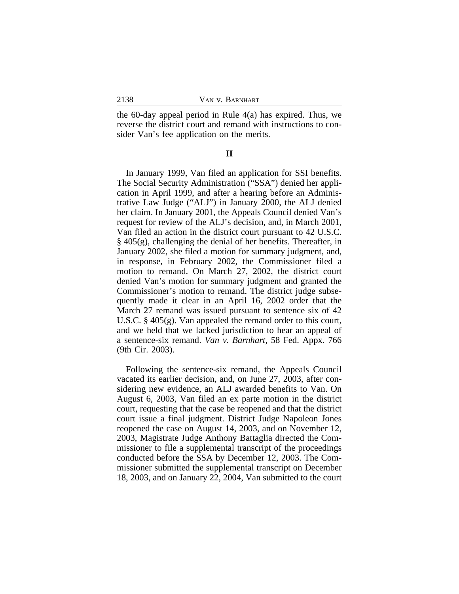the 60-day appeal period in Rule 4(a) has expired. Thus, we reverse the district court and remand with instructions to consider Van's fee application on the merits.

#### **II**

In January 1999, Van filed an application for SSI benefits. The Social Security Administration ("SSA") denied her application in April 1999, and after a hearing before an Administrative Law Judge ("ALJ") in January 2000, the ALJ denied her claim. In January 2001, the Appeals Council denied Van's request for review of the ALJ's decision, and, in March 2001, Van filed an action in the district court pursuant to 42 U.S.C. § 405(g), challenging the denial of her benefits. Thereafter, in January 2002, she filed a motion for summary judgment, and, in response, in February 2002, the Commissioner filed a motion to remand. On March 27, 2002, the district court denied Van's motion for summary judgment and granted the Commissioner's motion to remand. The district judge subsequently made it clear in an April 16, 2002 order that the March 27 remand was issued pursuant to sentence six of 42 U.S.C. § 405(g). Van appealed the remand order to this court, and we held that we lacked jurisdiction to hear an appeal of a sentence-six remand. *Van v. Barnhart*, 58 Fed. Appx. 766 (9th Cir. 2003).

Following the sentence-six remand, the Appeals Council vacated its earlier decision, and, on June 27, 2003, after considering new evidence, an ALJ awarded benefits to Van. On August 6, 2003, Van filed an ex parte motion in the district court, requesting that the case be reopened and that the district court issue a final judgment. District Judge Napoleon Jones reopened the case on August 14, 2003, and on November 12, 2003, Magistrate Judge Anthony Battaglia directed the Commissioner to file a supplemental transcript of the proceedings conducted before the SSA by December 12, 2003. The Commissioner submitted the supplemental transcript on December 18, 2003, and on January 22, 2004, Van submitted to the court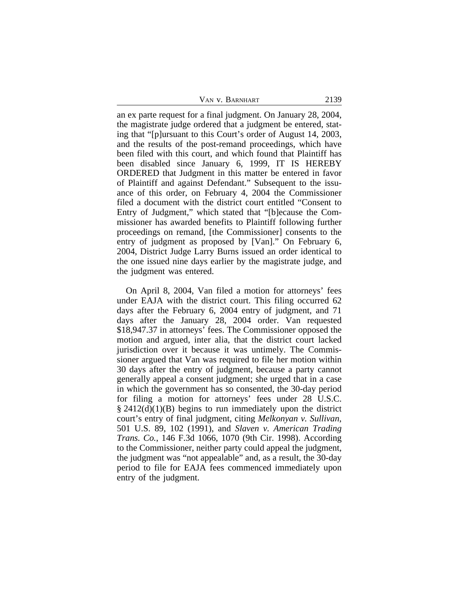an ex parte request for a final judgment. On January 28, 2004, the magistrate judge ordered that a judgment be entered, stating that "[p]ursuant to this Court's order of August 14, 2003, and the results of the post-remand proceedings, which have been filed with this court, and which found that Plaintiff has been disabled since January 6, 1999, IT IS HEREBY ORDERED that Judgment in this matter be entered in favor of Plaintiff and against Defendant." Subsequent to the issuance of this order, on February 4, 2004 the Commissioner filed a document with the district court entitled "Consent to Entry of Judgment," which stated that "[b]ecause the Commissioner has awarded benefits to Plaintiff following further proceedings on remand, [the Commissioner] consents to the entry of judgment as proposed by [Van]." On February 6, 2004, District Judge Larry Burns issued an order identical to the one issued nine days earlier by the magistrate judge, and the judgment was entered.

On April 8, 2004, Van filed a motion for attorneys' fees under EAJA with the district court. This filing occurred 62 days after the February 6, 2004 entry of judgment, and 71 days after the January 28, 2004 order. Van requested \$18,947.37 in attorneys' fees. The Commissioner opposed the motion and argued, inter alia, that the district court lacked jurisdiction over it because it was untimely. The Commissioner argued that Van was required to file her motion within 30 days after the entry of judgment, because a party cannot generally appeal a consent judgment; she urged that in a case in which the government has so consented, the 30-day period for filing a motion for attorneys' fees under 28 U.S.C.  $\S 2412(d)(1)(B)$  begins to run immediately upon the district court's entry of final judgment, citing *Melkonyan v. Sullivan*, 501 U.S. 89, 102 (1991), and *Slaven v. American Trading Trans. Co.*, 146 F.3d 1066, 1070 (9th Cir. 1998). According to the Commissioner, neither party could appeal the judgment, the judgment was "not appealable" and, as a result, the 30-day period to file for EAJA fees commenced immediately upon entry of the judgment.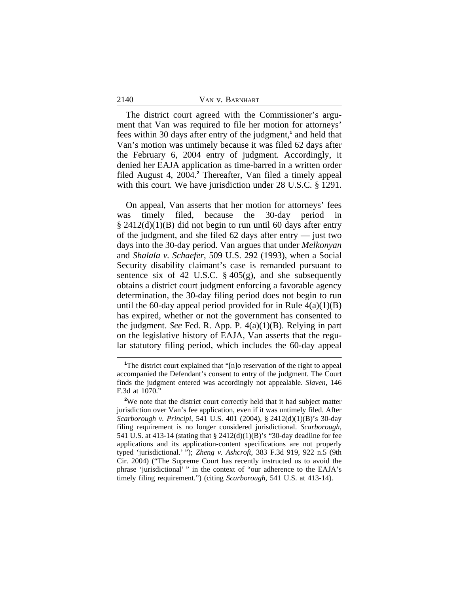| 2140 | VAN V. BARNHART |
|------|-----------------|
|      |                 |

The district court agreed with the Commissioner's argument that Van was required to file her motion for attorneys' fees within 30 days after entry of the judgment,**<sup>1</sup>** and held that Van's motion was untimely because it was filed 62 days after the February 6, 2004 entry of judgment. Accordingly, it denied her EAJA application as time-barred in a written order filed August 4, 2004.**<sup>2</sup>** Thereafter, Van filed a timely appeal with this court. We have jurisdiction under 28 U.S.C. § 1291.

On appeal, Van asserts that her motion for attorneys' fees was timely filed, because the 30-day period in  $\S$  2412(d)(1)(B) did not begin to run until 60 days after entry of the judgment, and she filed 62 days after entry — just two days into the 30-day period. Van argues that under *Melkonyan* and *Shalala v. Schaefer*, 509 U.S. 292 (1993), when a Social Security disability claimant's case is remanded pursuant to sentence six of 42 U.S.C.  $\S$  405(g), and she subsequently obtains a district court judgment enforcing a favorable agency determination, the 30-day filing period does not begin to run until the 60-day appeal period provided for in Rule  $4(a)(1)(B)$ has expired, whether or not the government has consented to the judgment. *See* Fed. R. App. P. 4(a)(1)(B). Relying in part on the legislative history of EAJA, Van asserts that the regular statutory filing period, which includes the 60-day appeal

<sup>&</sup>lt;sup>1</sup>The district court explained that "[n]o reservation of the right to appeal accompanied the Defendant's consent to entry of the judgment. The Court finds the judgment entered was accordingly not appealable. *Slaven*, 146 F.3d at 1070."

**<sup>2</sup>**We note that the district court correctly held that it had subject matter jurisdiction over Van's fee application, even if it was untimely filed. After *Scarborough v. Principi*, 541 U.S. 401 (2004), § 2412(d)(1)(B)'s 30-day filing requirement is no longer considered jurisdictional. *Scarborough*, 541 U.S. at 413-14 (stating that § 2412(d)(1)(B)'s "30-day deadline for fee applications and its application-content specifications are not properly typed 'jurisdictional.' "); *Zheng v. Ashcroft*, 383 F.3d 919, 922 n.5 (9th Cir. 2004) ("The Supreme Court has recently instructed us to avoid the phrase 'jurisdictional' " in the context of "our adherence to the EAJA's timely filing requirement.") (citing *Scarborough*, 541 U.S. at 413-14).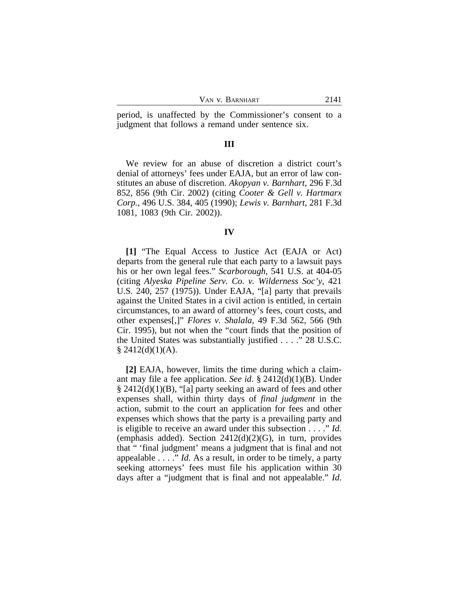| VAN V. BARNHART<br>2141 |
|-------------------------|
|                         |

period, is unaffected by the Commissioner's consent to a judgment that follows a remand under sentence six.

## **III**

We review for an abuse of discretion a district court's denial of attorneys' fees under EAJA, but an error of law constitutes an abuse of discretion. *Akopyan v. Barnhart*, 296 F.3d 852, 856 (9th Cir. 2002) (citing *Cooter & Gell v. Hartmarx Corp.*, 496 U.S. 384, 405 (1990); *Lewis v. Barnhart*, 281 F.3d 1081, 1083 (9th Cir. 2002)).

#### **IV**

**[1]** "The Equal Access to Justice Act (EAJA or Act) departs from the general rule that each party to a lawsuit pays his or her own legal fees." *Scarborough*, 541 U.S. at 404-05 (citing *Alyeska Pipeline Serv. Co. v. Wilderness Soc'y*, 421 U.S. 240, 257 (1975)). Under EAJA, "[a] party that prevails against the United States in a civil action is entitled, in certain circumstances, to an award of attorney's fees, court costs, and other expenses[,]" *Flores v. Shalala*, 49 F.3d 562, 566 (9th Cir. 1995), but not when the "court finds that the position of the United States was substantially justified . . . ." 28 U.S.C.  $§$  2412(d)(1)(A).

**[2]** EAJA, however, limits the time during which a claimant may file a fee application. *See id*. § 2412(d)(1)(B). Under § 2412(d)(1)(B), "[a] party seeking an award of fees and other expenses shall, within thirty days of *final judgment* in the action, submit to the court an application for fees and other expenses which shows that the party is a prevailing party and is eligible to receive an award under this subsection . . . ." *Id.* (emphasis added). Section  $2412(d)(2)(G)$ , in turn, provides that " 'final judgment' means a judgment that is final and not appealable . . . ." *Id.* As a result, in order to be timely, a party seeking attorneys' fees must file his application within 30 days after a "judgment that is final and not appealable." *Id*.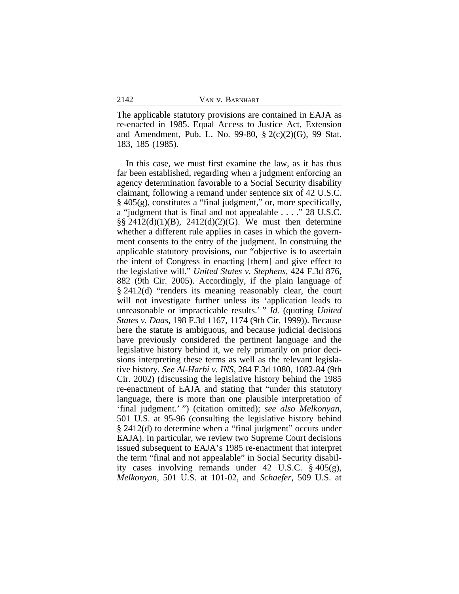The applicable statutory provisions are contained in EAJA as re-enacted in 1985. Equal Access to Justice Act, Extension and Amendment, Pub. L. No. 99-80, § 2(c)(2)(G), 99 Stat. 183, 185 (1985).

In this case, we must first examine the law, as it has thus far been established, regarding when a judgment enforcing an agency determination favorable to a Social Security disability claimant, following a remand under sentence six of 42 U.S.C. § 405(g), constitutes a "final judgment," or, more specifically, a "judgment that is final and not appealable . . . ." 28 U.S.C. §§ 2412(d)(1)(B), 2412(d)(2)(G). We must then determine whether a different rule applies in cases in which the government consents to the entry of the judgment. In construing the applicable statutory provisions, our "objective is to ascertain the intent of Congress in enacting [them] and give effect to the legislative will." *United States v. Stephens*, 424 F.3d 876, 882 (9th Cir. 2005). Accordingly, if the plain language of § 2412(d) "renders its meaning reasonably clear, the court will not investigate further unless its 'application leads to unreasonable or impracticable results.' " *Id.* (quoting *United States v. Daas*, 198 F.3d 1167, 1174 (9th Cir. 1999)). Because here the statute is ambiguous, and because judicial decisions have previously considered the pertinent language and the legislative history behind it, we rely primarily on prior decisions interpreting these terms as well as the relevant legislative history. *See Al-Harbi v. INS*, 284 F.3d 1080, 1082-84 (9th Cir. 2002) (discussing the legislative history behind the 1985 re-enactment of EAJA and stating that "under this statutory language, there is more than one plausible interpretation of 'final judgment.' ") (citation omitted); *see also Melkonyan*, 501 U.S. at 95-96 (consulting the legislative history behind § 2412(d) to determine when a "final judgment" occurs under EAJA). In particular, we review two Supreme Court decisions issued subsequent to EAJA's 1985 re-enactment that interpret the term "final and not appealable" in Social Security disability cases involving remands under 42 U.S.C. § 405(g), *Melkonyan*, 501 U.S. at 101-02, and *Schaefer*, 509 U.S. at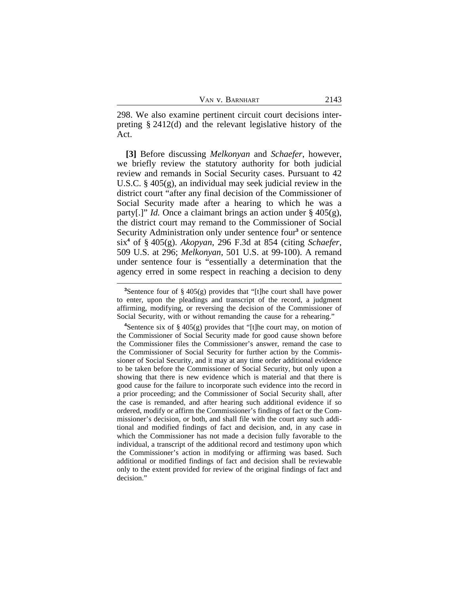298. We also examine pertinent circuit court decisions interpreting § 2412(d) and the relevant legislative history of the Act.

**[3]** Before discussing *Melkonyan* and *Schaefer*, however, we briefly review the statutory authority for both judicial review and remands in Social Security cases. Pursuant to 42 U.S.C. § 405(g), an individual may seek judicial review in the district court "after any final decision of the Commissioner of Social Security made after a hearing to which he was a party[.]" *Id.* Once a claimant brings an action under § 405(g), the district court may remand to the Commissioner of Social Security Administration only under sentence four<sup>3</sup> or sentence six**<sup>4</sup>** of § 405(g). *Akopyan*, 296 F.3d at 854 (citing *Schaefer*, 509 U.S. at 296; *Melkonyan*, 501 U.S. at 99-100). A remand under sentence four is "essentially a determination that the agency erred in some respect in reaching a decision to deny

**<sup>3</sup>**Sentence four of § 405(g) provides that "[t]he court shall have power to enter, upon the pleadings and transcript of the record, a judgment affirming, modifying, or reversing the decision of the Commissioner of Social Security, with or without remanding the cause for a rehearing.'

**<sup>4</sup>**Sentence six of § 405(g) provides that "[t]he court may, on motion of the Commissioner of Social Security made for good cause shown before the Commissioner files the Commissioner's answer, remand the case to the Commissioner of Social Security for further action by the Commissioner of Social Security, and it may at any time order additional evidence to be taken before the Commissioner of Social Security, but only upon a showing that there is new evidence which is material and that there is good cause for the failure to incorporate such evidence into the record in a prior proceeding; and the Commissioner of Social Security shall, after the case is remanded, and after hearing such additional evidence if so ordered, modify or affirm the Commissioner's findings of fact or the Commissioner's decision, or both, and shall file with the court any such additional and modified findings of fact and decision, and, in any case in which the Commissioner has not made a decision fully favorable to the individual, a transcript of the additional record and testimony upon which the Commissioner's action in modifying or affirming was based. Such additional or modified findings of fact and decision shall be reviewable only to the extent provided for review of the original findings of fact and decision."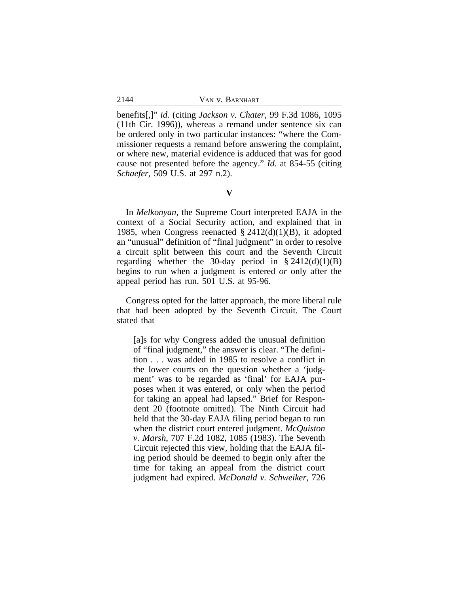benefits[,]" *id.* (citing *Jackson v. Chater*, 99 F.3d 1086, 1095 (11th Cir. 1996)), whereas a remand under sentence six can be ordered only in two particular instances: "where the Commissioner requests a remand before answering the complaint, or where new, material evidence is adduced that was for good cause not presented before the agency." *Id.* at 854-55 (citing *Schaefer*, 509 U.S. at 297 n.2).

In *Melkonyan*, the Supreme Court interpreted EAJA in the context of a Social Security action, and explained that in 1985, when Congress reenacted  $\S 2412(d)(1)(B)$ , it adopted an "unusual" definition of "final judgment" in order to resolve a circuit split between this court and the Seventh Circuit regarding whether the 30-day period in  $\S 2412(d)(1)(B)$ begins to run when a judgment is entered *or* only after the appeal period has run. 501 U.S. at 95-96.

Congress opted for the latter approach, the more liberal rule that had been adopted by the Seventh Circuit. The Court stated that

[a]s for why Congress added the unusual definition of "final judgment," the answer is clear. "The definition . . . was added in 1985 to resolve a conflict in the lower courts on the question whether a 'judgment' was to be regarded as 'final' for EAJA purposes when it was entered, or only when the period for taking an appeal had lapsed." Brief for Respondent 20 (footnote omitted). The Ninth Circuit had held that the 30-day EAJA filing period began to run when the district court entered judgment. *McQuiston v. Marsh*, 707 F.2d 1082, 1085 (1983). The Seventh Circuit rejected this view, holding that the EAJA filing period should be deemed to begin only after the time for taking an appeal from the district court judgment had expired. *McDonald v. Schweiker*, 726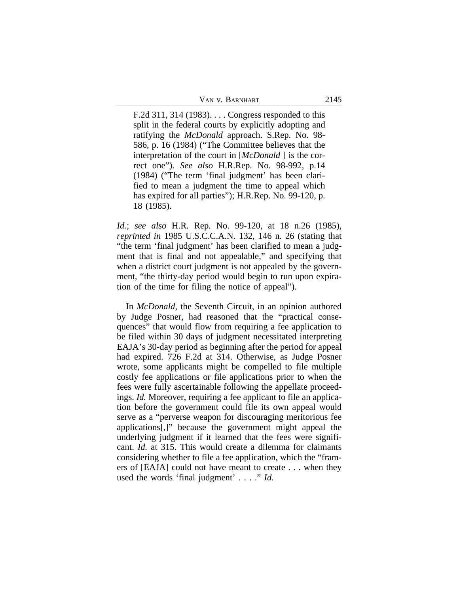F.2d 311, 314 (1983). . . . Congress responded to this split in the federal courts by explicitly adopting and ratifying the *McDonald* approach. S.Rep. No. 98- 586, p. 16 (1984) ("The Committee believes that the interpretation of the court in [*McDonald* ] is the correct one"). *See also* H.R.Rep. No. 98-992, p.14 (1984) ("The term 'final judgment' has been clarified to mean a judgment the time to appeal which has expired for all parties"); H.R.Rep. No. 99-120, p. 18 (1985).

*Id.*; *see also* H.R. Rep. No. 99-120, at 18 n.26 (1985), *reprinted in* 1985 U.S.C.C.A.N. 132, 146 n. 26 (stating that "the term 'final judgment' has been clarified to mean a judgment that is final and not appealable," and specifying that when a district court judgment is not appealed by the government, "the thirty-day period would begin to run upon expiration of the time for filing the notice of appeal").

In *McDonald*, the Seventh Circuit, in an opinion authored by Judge Posner, had reasoned that the "practical consequences" that would flow from requiring a fee application to be filed within 30 days of judgment necessitated interpreting EAJA's 30-day period as beginning after the period for appeal had expired. 726 F.2d at 314. Otherwise, as Judge Posner wrote, some applicants might be compelled to file multiple costly fee applications or file applications prior to when the fees were fully ascertainable following the appellate proceedings. *Id.* Moreover, requiring a fee applicant to file an application before the government could file its own appeal would serve as a "perverse weapon for discouraging meritorious fee applications[,]" because the government might appeal the underlying judgment if it learned that the fees were significant. *Id.* at 315. This would create a dilemma for claimants considering whether to file a fee application, which the "framers of [EAJA] could not have meant to create . . . when they used the words 'final judgment' . . . ." *Id.*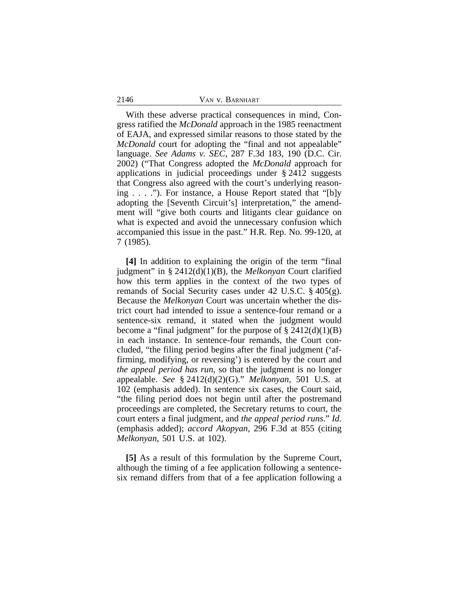With these adverse practical consequences in mind, Congress ratified the *McDonald* approach in the 1985 reenactment of EAJA, and expressed similar reasons to those stated by the *McDonald* court for adopting the "final and not appealable" language. *See Adams v. SEC*, 287 F.3d 183, 190 (D.C. Cir. 2002) ("That Congress adopted the *McDonald* approach for applications in judicial proceedings under § 2412 suggests that Congress also agreed with the court's underlying reasoning . . . ."). For instance, a House Report stated that "[b]y adopting the [Seventh Circuit's] interpretation," the amendment will "give both courts and litigants clear guidance on what is expected and avoid the unnecessary confusion which accompanied this issue in the past." H.R. Rep. No. 99-120, at 7 (1985).

**[4]** In addition to explaining the origin of the term "final judgment" in § 2412(d)(1)(B), the *Melkonyan* Court clarified how this term applies in the context of the two types of remands of Social Security cases under 42 U.S.C. § 405(g). Because the *Melkonyan* Court was uncertain whether the district court had intended to issue a sentence-four remand or a sentence-six remand, it stated when the judgment would become a "final judgment" for the purpose of  $\S 2412(d)(1)(B)$ in each instance. In sentence-four remands, the Court concluded, "the filing period begins after the final judgment ('affirming, modifying, or reversing') is entered by the court and *the appeal period has run*, so that the judgment is no longer appealable. *See* § 2412(d)(2)(G)." *Melkonyan*, 501 U.S. at 102 (emphasis added). In sentence six cases, the Court said, "the filing period does not begin until after the postremand proceedings are completed, the Secretary returns to court, the court enters a final judgment, and *the appeal period runs*." *Id.* (emphasis added); *accord Akopyan*, 296 F.3d at 855 (citing *Melkonyan*, 501 U.S. at 102).

**[5]** As a result of this formulation by the Supreme Court, although the timing of a fee application following a sentencesix remand differs from that of a fee application following a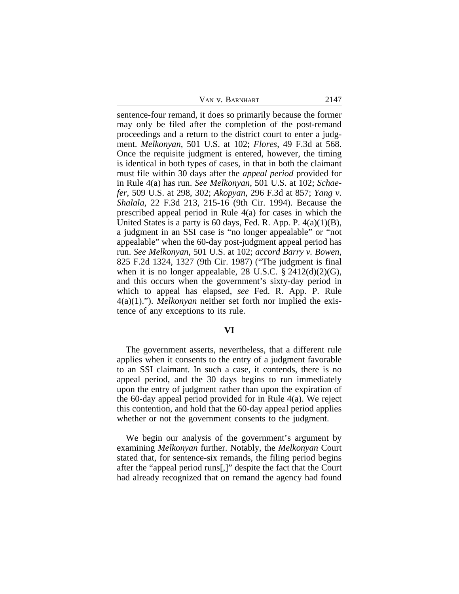sentence-four remand, it does so primarily because the former may only be filed after the completion of the post-remand proceedings and a return to the district court to enter a judgment. *Melkonyan*, 501 U.S. at 102; *Flores*, 49 F.3d at 568. Once the requisite judgment is entered, however, the timing is identical in both types of cases, in that in both the claimant must file within 30 days after the *appeal period* provided for in Rule 4(a) has run. *See Melkonyan*, 501 U.S. at 102; *Schaefer*, 509 U.S. at 298, 302; *Akopyan*, 296 F.3d at 857; *Yang v. Shalala*, 22 F.3d 213, 215-16 (9th Cir. 1994). Because the prescribed appeal period in Rule 4(a) for cases in which the United States is a party is 60 days, Fed. R. App. P. 4(a)(1)(B), a judgment in an SSI case is "no longer appealable" or "not appealable" when the 60-day post-judgment appeal period has run. *See Melkonyan*, 501 U.S. at 102; *accord Barry v. Bowen*, 825 F.2d 1324, 1327 (9th Cir. 1987) ("The judgment is final when it is no longer appealable, 28 U.S.C.  $\S$  2412(d)(2)(G), and this occurs when the government's sixty-day period in which to appeal has elapsed, *see* Fed. R. App. P. Rule 4(a)(1)."). *Melkonyan* neither set forth nor implied the existence of any exceptions to its rule.

### **VI**

The government asserts, nevertheless, that a different rule applies when it consents to the entry of a judgment favorable to an SSI claimant. In such a case, it contends, there is no appeal period, and the 30 days begins to run immediately upon the entry of judgment rather than upon the expiration of the 60-day appeal period provided for in Rule 4(a). We reject this contention, and hold that the 60-day appeal period applies whether or not the government consents to the judgment.

We begin our analysis of the government's argument by examining *Melkonyan* further. Notably, the *Melkonyan* Court stated that, for sentence-six remands, the filing period begins after the "appeal period runs[,]" despite the fact that the Court had already recognized that on remand the agency had found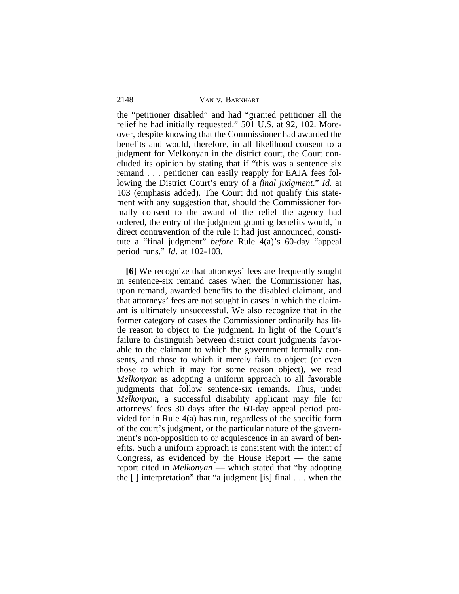the "petitioner disabled" and had "granted petitioner all the relief he had initially requested." 501 U.S. at 92, 102. Moreover, despite knowing that the Commissioner had awarded the benefits and would, therefore, in all likelihood consent to a judgment for Melkonyan in the district court, the Court concluded its opinion by stating that if "this was a sentence six remand . . . petitioner can easily reapply for EAJA fees following the District Court's entry of a *final judgment*." *Id.* at 103 (emphasis added). The Court did not qualify this statement with any suggestion that, should the Commissioner formally consent to the award of the relief the agency had ordered, the entry of the judgment granting benefits would, in direct contravention of the rule it had just announced, constitute a "final judgment" *before* Rule 4(a)'s 60-day "appeal period runs." *Id*. at 102-103.

**[6]** We recognize that attorneys' fees are frequently sought in sentence-six remand cases when the Commissioner has, upon remand, awarded benefits to the disabled claimant, and that attorneys' fees are not sought in cases in which the claimant is ultimately unsuccessful. We also recognize that in the former category of cases the Commissioner ordinarily has little reason to object to the judgment. In light of the Court's failure to distinguish between district court judgments favorable to the claimant to which the government formally consents, and those to which it merely fails to object (or even those to which it may for some reason object), we read *Melkonyan* as adopting a uniform approach to all favorable judgments that follow sentence-six remands. Thus, under *Melkonyan*, a successful disability applicant may file for attorneys' fees 30 days after the 60-day appeal period provided for in Rule 4(a) has run, regardless of the specific form of the court's judgment, or the particular nature of the government's non-opposition to or acquiescence in an award of benefits. Such a uniform approach is consistent with the intent of Congress, as evidenced by the House Report — the same report cited in *Melkonyan* — which stated that "by adopting the [ ] interpretation" that "a judgment [is] final . . . when the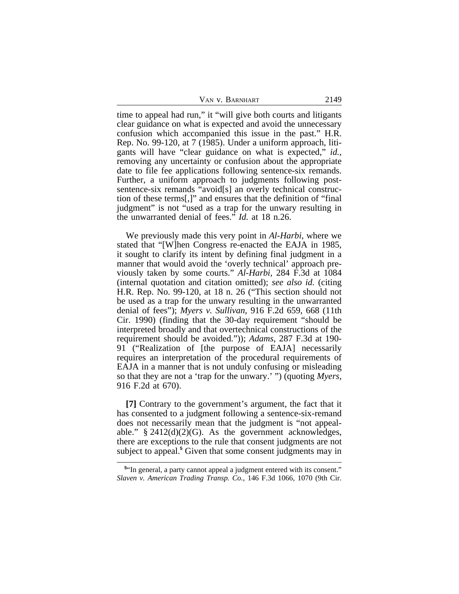| VAN V. BARNHART | 2149 |
|-----------------|------|
|-----------------|------|

time to appeal had run," it "will give both courts and litigants clear guidance on what is expected and avoid the unnecessary confusion which accompanied this issue in the past." H.R. Rep. No. 99-120, at 7 (1985). Under a uniform approach, litigants will have "clear guidance on what is expected," *id.*, removing any uncertainty or confusion about the appropriate date to file fee applications following sentence-six remands. Further, a uniform approach to judgments following postsentence-six remands "avoid[s] an overly technical construction of these terms[,]" and ensures that the definition of "final judgment" is not "used as a trap for the unwary resulting in the unwarranted denial of fees." *Id.* at 18 n.26.

We previously made this very point in *Al-Harbi*, where we stated that "[W]hen Congress re-enacted the EAJA in 1985, it sought to clarify its intent by defining final judgment in a manner that would avoid the 'overly technical' approach previously taken by some courts." *Al-Harbi*, 284 F.3d at 1084 (internal quotation and citation omitted); *see also id.* (citing H.R. Rep. No. 99-120, at 18 n. 26 ("This section should not be used as a trap for the unwary resulting in the unwarranted denial of fees"); *Myers v. Sullivan*, 916 F.2d 659, 668 (11th Cir. 1990) (finding that the 30-day requirement "should be interpreted broadly and that overtechnical constructions of the requirement should be avoided.")); *Adams*, 287 F.3d at 190- 91 ("Realization of [the purpose of EAJA] necessarily requires an interpretation of the procedural requirements of EAJA in a manner that is not unduly confusing or misleading so that they are not a 'trap for the unwary.' ") (quoting *Myers*, 916 F.2d at 670).

**[7]** Contrary to the government's argument, the fact that it has consented to a judgment following a sentence-six-remand does not necessarily mean that the judgment is "not appealable."  $§$  2412(d)(2)(G). As the government acknowledges, there are exceptions to the rule that consent judgments are not subject to appeal.<sup>5</sup> Given that some consent judgments may in

**<sup>5</sup>** "In general, a party cannot appeal a judgment entered with its consent." *Slaven v. American Trading Transp. Co.*, 146 F.3d 1066, 1070 (9th Cir.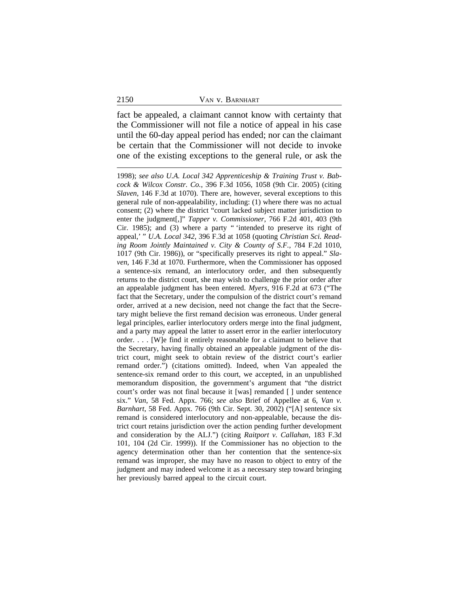fact be appealed, a claimant cannot know with certainty that the Commissioner will not file a notice of appeal in his case until the 60-day appeal period has ended; nor can the claimant be certain that the Commissioner will not decide to invoke one of the existing exceptions to the general rule, or ask the

1998); *see also U.A. Local 342 Apprenticeship & Training Trust v. Babcock & Wilcox Constr. Co.*, 396 F.3d 1056, 1058 (9th Cir. 2005) (citing *Slaven*, 146 F.3d at 1070). There are, however, several exceptions to this general rule of non-appealability, including: (1) where there was no actual consent; (2) where the district "court lacked subject matter jurisdiction to enter the judgment[,]" *Tapper v. Commissioner*, 766 F.2d 401, 403 (9th Cir. 1985); and (3) where a party " 'intended to preserve its right of appeal,' " *U.A. Local 342*, 396 F.3d at 1058 (quoting *Christian Sci. Reading Room Jointly Maintained v. City & County of S.F.*, 784 F.2d 1010, 1017 (9th Cir. 1986)), or "specifically preserves its right to appeal." *Slaven*, 146 F.3d at 1070. Furthermore, when the Commissioner has opposed a sentence-six remand, an interlocutory order, and then subsequently returns to the district court, she may wish to challenge the prior order after an appealable judgment has been entered. *Myers*, 916 F.2d at 673 ("The fact that the Secretary, under the compulsion of the district court's remand order, arrived at a new decision, need not change the fact that the Secretary might believe the first remand decision was erroneous. Under general legal principles, earlier interlocutory orders merge into the final judgment, and a party may appeal the latter to assert error in the earlier interlocutory order. . . . [W]e find it entirely reasonable for a claimant to believe that the Secretary, having finally obtained an appealable judgment of the district court, might seek to obtain review of the district court's earlier remand order.") (citations omitted). Indeed, when Van appealed the sentence-six remand order to this court, we accepted, in an unpublished memorandum disposition, the government's argument that "the district court's order was not final because it [was] remanded [ ] under sentence six." *Van*, 58 Fed. Appx. 766; *see also* Brief of Appellee at 6, *Van v. Barnhart*, 58 Fed. Appx. 766 (9th Cir. Sept. 30, 2002) ("[A] sentence six remand is considered interlocutory and non-appealable, because the district court retains jurisdiction over the action pending further development and consideration by the ALJ.") (citing *Raitport v. Callahan*, 183 F.3d 101, 104 (2d Cir. 1999)). If the Commissioner has no objection to the agency determination other than her contention that the sentence-six remand was improper, she may have no reason to object to entry of the judgment and may indeed welcome it as a necessary step toward bringing her previously barred appeal to the circuit court.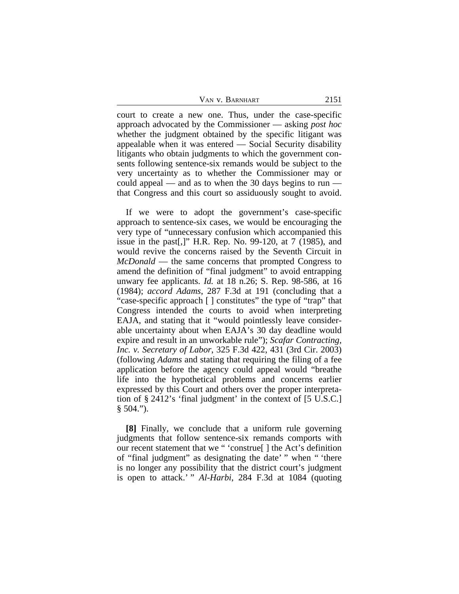court to create a new one. Thus, under the case-specific approach advocated by the Commissioner — asking *post hoc* whether the judgment obtained by the specific litigant was appealable when it was entered — Social Security disability litigants who obtain judgments to which the government consents following sentence-six remands would be subject to the very uncertainty as to whether the Commissioner may or could appeal — and as to when the 30 days begins to run that Congress and this court so assiduously sought to avoid.

If we were to adopt the government's case-specific approach to sentence-six cases, we would be encouraging the very type of "unnecessary confusion which accompanied this issue in the past[,]" H.R. Rep. No. 99-120, at 7 (1985), and would revive the concerns raised by the Seventh Circuit in *McDonald* — the same concerns that prompted Congress to amend the definition of "final judgment" to avoid entrapping unwary fee applicants. *Id.* at 18 n.26; S. Rep. 98-586, at 16 (1984); *accord Adams*, 287 F.3d at 191 (concluding that a "case-specific approach [ ] constitutes" the type of "trap" that Congress intended the courts to avoid when interpreting EAJA, and stating that it "would pointlessly leave considerable uncertainty about when EAJA's 30 day deadline would expire and result in an unworkable rule"); *Scafar Contracting, Inc. v. Secretary of Labor*, 325 F.3d 422, 431 (3rd Cir. 2003) (following *Adams* and stating that requiring the filing of a fee application before the agency could appeal would "breathe life into the hypothetical problems and concerns earlier expressed by this Court and others over the proper interpretation of § 2412's 'final judgment' in the context of [5 U.S.C.]  $§ 504."$ ).

**[8]** Finally, we conclude that a uniform rule governing judgments that follow sentence-six remands comports with our recent statement that we " 'construe[ ] the Act's definition of "final judgment" as designating the date' " when " 'there is no longer any possibility that the district court's judgment is open to attack.' " *Al-Harbi*, 284 F.3d at 1084 (quoting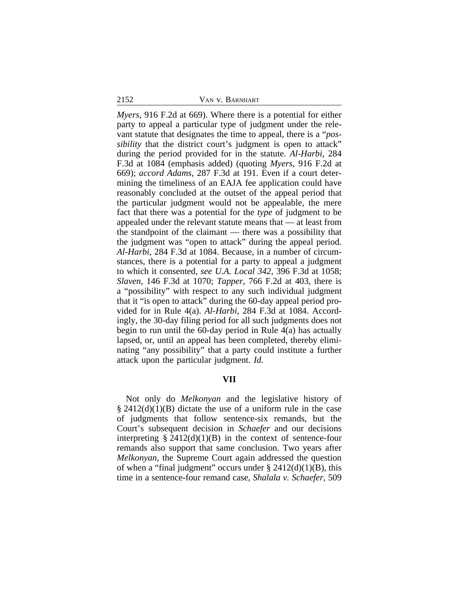*Myers*, 916 F.2d at 669). Where there is a potential for either party to appeal a particular type of judgment under the relevant statute that designates the time to appeal, there is a "*possibility* that the district court's judgment is open to attack" during the period provided for in the statute. *Al-Harbi*, 284 F.3d at 1084 (emphasis added) (quoting *Myers*, 916 F.2d at 669); *accord Adams*, 287 F.3d at 191. Even if a court determining the timeliness of an EAJA fee application could have reasonably concluded at the outset of the appeal period that the particular judgment would not be appealable, the mere fact that there was a potential for the *type* of judgment to be appealed under the relevant statute means that — at least from the standpoint of the claimant — there was a possibility that the judgment was "open to attack" during the appeal period. *Al-Harbi*, 284 F.3d at 1084. Because, in a number of circumstances, there is a potential for a party to appeal a judgment to which it consented, *see U.A. Local 342*, 396 F.3d at 1058; *Slaven*, 146 F.3d at 1070; *Tapper*, 766 F.2d at 403, there is a "possibility" with respect to any such individual judgment that it "is open to attack" during the 60-day appeal period provided for in Rule 4(a). *Al-Harbi*, 284 F.3d at 1084. Accordingly, the 30-day filing period for all such judgments does not begin to run until the 60-day period in Rule 4(a) has actually lapsed, or, until an appeal has been completed, thereby eliminating "any possibility" that a party could institute a further attack upon the particular judgment. *Id.* 

## **VII**

Not only do *Melkonyan* and the legislative history of  $\S 2412(d)(1)(B)$  dictate the use of a uniform rule in the case of judgments that follow sentence-six remands, but the Court's subsequent decision in *Schaefer* and our decisions interpreting  $\S 2412(d)(1)(B)$  in the context of sentence-four remands also support that same conclusion. Two years after *Melkonyan*, the Supreme Court again addressed the question of when a "final judgment" occurs under  $\S 2412(d)(1)(B)$ , this time in a sentence-four remand case, *Shalala v. Schaefer*, 509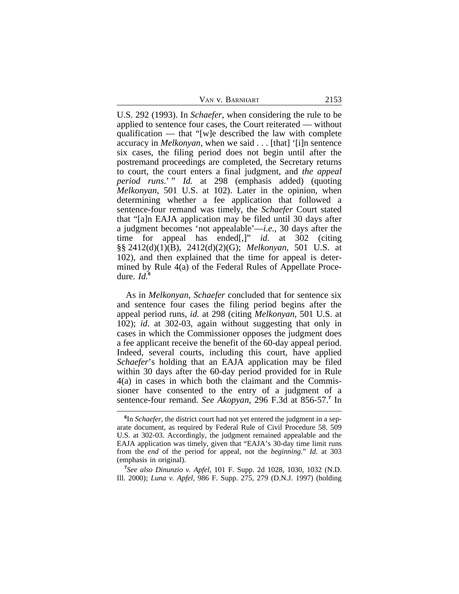| VAN V. BARNHART | 2153 |
|-----------------|------|
|-----------------|------|

U.S. 292 (1993). In *Schaefer*, when considering the rule to be applied to sentence four cases, the Court reiterated — without qualification — that "[w]e described the law with complete accuracy in *Melkonyan*, when we said . . . [that] '[i]n sentence six cases, the filing period does not begin until after the postremand proceedings are completed, the Secretary returns to court, the court enters a final judgment, and *the appeal period runs.*" *Id.* at 298 (emphasis added) (quoting *Melkonyan*, 501 U.S. at 102). Later in the opinion, when determining whether a fee application that followed a sentence-four remand was timely, the *Schaefer* Court stated that "[a]n EAJA application may be filed until 30 days after a judgment becomes 'not appealable'—*i.e.*, 30 days after the time for appeal has ended[,]" *id.* at 302 (citing §§ 2412(d)(1)(B), 2412(d)(2)(G); *Melkonyan*, 501 U.S. at 102), and then explained that the time for appeal is determined by Rule 4(a) of the Federal Rules of Appellate Procedure. *Id.***<sup>6</sup>**

As in *Melkonyan*, *Schaefer* concluded that for sentence six and sentence four cases the filing period begins after the appeal period runs, *id.* at 298 (citing *Melkonyan*, 501 U.S. at 102); *id*. at 302-03, again without suggesting that only in cases in which the Commissioner opposes the judgment does a fee applicant receive the benefit of the 60-day appeal period. Indeed, several courts, including this court, have applied *Schaefer*'s holding that an EAJA application may be filed within 30 days after the 60-day period provided for in Rule 4(a) in cases in which both the claimant and the Commissioner have consented to the entry of a judgment of a sentence-four remand. *See Akopyan*, 296 F.3d at 856-57.**<sup>7</sup>** In

**<sup>6</sup>** In *Schaefer*, the district court had not yet entered the judgment in a separate document, as required by Federal Rule of Civil Procedure 58. 509 U.S. at 302-03. Accordingly, the judgment remained appealable and the EAJA application was timely, given that "EAJA's 30-day time limit runs from the *end* of the period for appeal, not the *beginning*." *Id.* at 303 (emphasis in original).

**<sup>7</sup>** *See also Dinunzio v. Apfel*, 101 F. Supp. 2d 1028, 1030, 1032 (N.D. Ill. 2000); *Luna v. Apfel*, 986 F. Supp. 275, 279 (D.N.J. 1997) (holding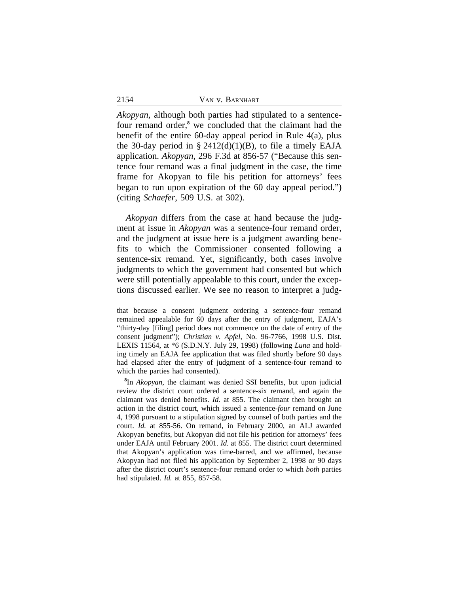*Akopyan*, although both parties had stipulated to a sentencefour remand order,**<sup>8</sup>** we concluded that the claimant had the benefit of the entire 60-day appeal period in Rule 4(a), plus the 30-day period in  $\S$  2412(d)(1)(B), to file a timely EAJA application. *Akopyan*, 296 F.3d at 856-57 ("Because this sentence four remand was a final judgment in the case, the time frame for Akopyan to file his petition for attorneys' fees began to run upon expiration of the 60 day appeal period.") (citing *Schaefer*, 509 U.S. at 302).

*Akopyan* differs from the case at hand because the judgment at issue in *Akopyan* was a sentence-four remand order, and the judgment at issue here is a judgment awarding benefits to which the Commissioner consented following a sentence-six remand. Yet, significantly, both cases involve judgments to which the government had consented but which were still potentially appealable to this court, under the exceptions discussed earlier. We see no reason to interpret a judg-

**8** In *Akopyan*, the claimant was denied SSI benefits, but upon judicial review the district court ordered a sentence-six remand, and again the claimant was denied benefits. *Id.* at 855. The claimant then brought an action in the district court, which issued a sentence-*four* remand on June 4, 1998 pursuant to a stipulation signed by counsel of both parties and the court. *Id.* at 855-56. On remand, in February 2000, an ALJ awarded Akopyan benefits, but Akopyan did not file his petition for attorneys' fees under EAJA until February 2001. *Id.* at 855. The district court determined that Akopyan's application was time-barred, and we affirmed, because Akopyan had not filed his application by September 2, 1998 or 90 days after the district court's sentence-four remand order to which *both* parties had stipulated. *Id.* at 855, 857-58.

that because a consent judgment ordering a sentence-four remand remained appealable for 60 days after the entry of judgment, EAJA's "thirty-day [filing] period does not commence on the date of entry of the consent judgment"); *Christian v. Apfel*, No. 96-7766, 1998 U.S. Dist. LEXIS 11564, at \*6 (S.D.N.Y. July 29, 1998) (following *Luna* and holding timely an EAJA fee application that was filed shortly before 90 days had elapsed after the entry of judgment of a sentence-four remand to which the parties had consented).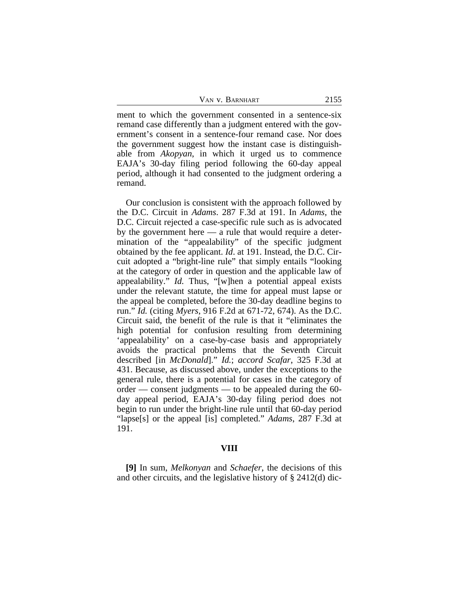ment to which the government consented in a sentence-six remand case differently than a judgment entered with the government's consent in a sentence-four remand case. Nor does the government suggest how the instant case is distinguishable from *Akopyan*, in which it urged us to commence EAJA's 30-day filing period following the 60-day appeal period, although it had consented to the judgment ordering a remand.

Our conclusion is consistent with the approach followed by the D.C. Circuit in *Adams*. 287 F.3d at 191. In *Adams*, the D.C. Circuit rejected a case-specific rule such as is advocated by the government here — a rule that would require a determination of the "appealability" of the specific judgment obtained by the fee applicant. *Id*. at 191. Instead, the D.C. Circuit adopted a "bright-line rule" that simply entails "looking at the category of order in question and the applicable law of appealability." *Id.* Thus, "[w]hen a potential appeal exists under the relevant statute, the time for appeal must lapse or the appeal be completed, before the 30-day deadline begins to run." *Id.* (citing *Myers*, 916 F.2d at 671-72, 674). As the D.C. Circuit said, the benefit of the rule is that it "eliminates the high potential for confusion resulting from determining 'appealability' on a case-by-case basis and appropriately avoids the practical problems that the Seventh Circuit described [in *McDonald*]." *Id.*; *accord Scafar*, 325 F.3d at 431. Because, as discussed above, under the exceptions to the general rule, there is a potential for cases in the category of order — consent judgments — to be appealed during the 60 day appeal period, EAJA's 30-day filing period does not begin to run under the bright-line rule until that 60-day period "lapse[s] or the appeal [is] completed." *Adams*, 287 F.3d at 191.

### **VIII**

**[9]** In sum, *Melkonyan* and *Schaefer*, the decisions of this and other circuits, and the legislative history of § 2412(d) dic-